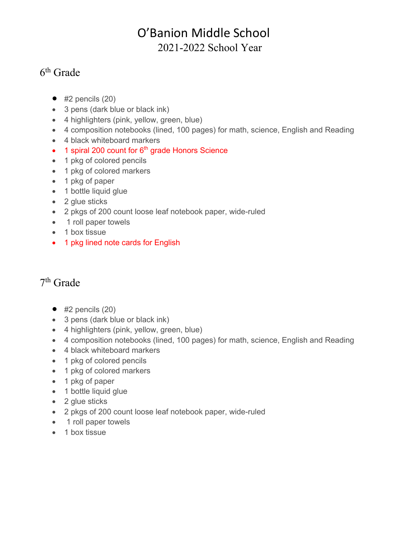## O'Banion Middle School 2021-2022 School Year

## 6th Grade

- $\bullet$  #2 pencils (20)
- 3 pens (dark blue or black ink)
- 4 highlighters (pink, yellow, green, blue)
- 4 composition notebooks (lined, 100 pages) for math, science, English and Reading
- 4 black whiteboard markers
- $\bullet$  1 spiral 200 count for 6<sup>th</sup> grade Honors Science
- 1 pkg of colored pencils
- 1 pkg of colored markers
- 1 pkg of paper
- 1 bottle liquid glue
- 2 glue sticks
- 2 pkgs of 200 count loose leaf notebook paper, wide-ruled
- 1 roll paper towels
- 1 box tissue
- 1 pkg lined note cards for English

## 7th Grade

- $\bullet$  #2 pencils (20)
- 3 pens (dark blue or black ink)
- 4 highlighters (pink, yellow, green, blue)
- 4 composition notebooks (lined, 100 pages) for math, science, English and Reading
- 4 black whiteboard markers
- 1 pkg of colored pencils
- 1 pkg of colored markers
- 1 pkg of paper
- 1 bottle liquid glue
- 2 glue sticks
- 2 pkgs of 200 count loose leaf notebook paper, wide-ruled
- 1 roll paper towels
- 1 box tissue